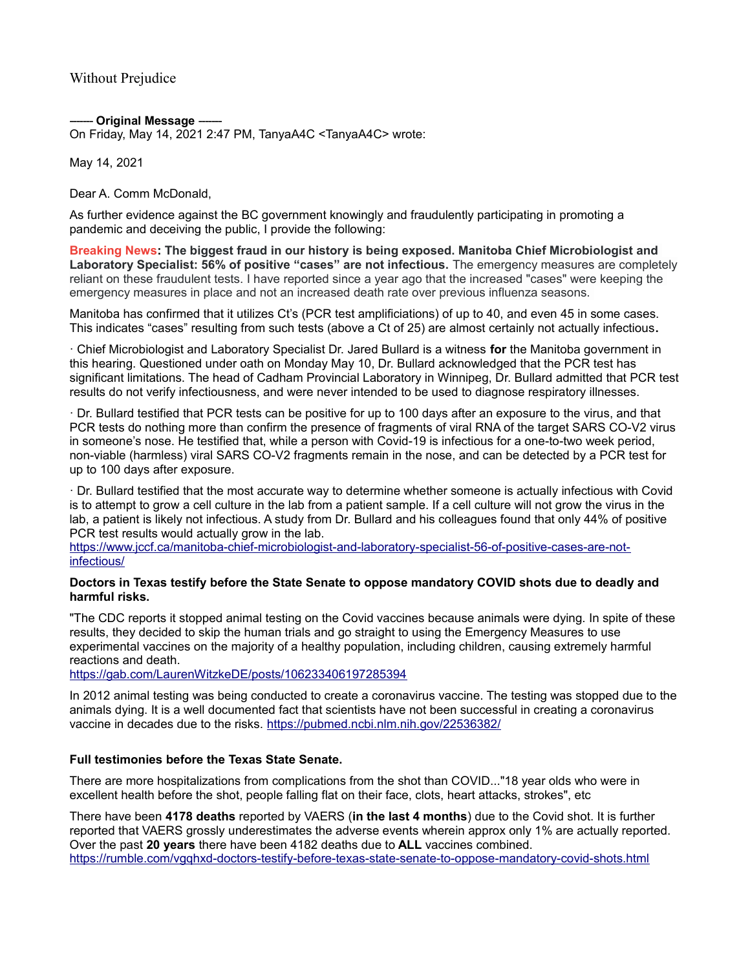Without Prejudice

‐‐‐‐‐‐‐ ‐‐‐‐‐‐‐ **Original Message**  On Friday, May 14, 2021 2:47 PM, TanyaA4C <TanyaA4C> wrote:

May 14, 2021

Dear A. Comm McDonald,

As further evidence against the BC government knowingly and fraudulently participating in promoting a pandemic and deceiving the public, I provide the following:

**Breaking News: The biggest fraud in our history is being exposed. Manitoba Chief Microbiologist and Laboratory Specialist: 56% of positive "cases" are not infectious.** The emergency measures are completely reliant on these fraudulent tests. I have reported since a year ago that the increased "cases" were keeping the emergency measures in place and not an increased death rate over previous influenza seasons.

Manitoba has confirmed that it utilizes Ct's (PCR test amplificiations) of up to 40, and even 45 in some cases. This indicates "cases" resulting from such tests (above a Ct of 25) are almost certainly not actually infectious**.**

· Chief Microbiologist and Laboratory Specialist Dr. Jared Bullard is a witness **for** the Manitoba government in this hearing. Questioned under oath on Monday May 10, Dr. Bullard acknowledged that the PCR test has significant limitations. The head of Cadham Provincial Laboratory in Winnipeg, Dr. Bullard admitted that PCR test results do not verify infectiousness, and were never intended to be used to diagnose respiratory illnesses.

· Dr. Bullard testified that PCR tests can be positive for up to 100 days after an exposure to the virus, and that PCR tests do nothing more than confirm the presence of fragments of viral RNA of the target SARS CO-V2 virus in someone's nose. He testified that, while a person with Covid-19 is infectious for a one-to-two week period, non-viable (harmless) viral SARS CO-V2 fragments remain in the nose, and can be detected by a PCR test for up to 100 days after exposure.

· Dr. Bullard testified that the most accurate way to determine whether someone is actually infectious with Covid is to attempt to grow a cell culture in the lab from a patient sample. If a cell culture will not grow the virus in the lab, a patient is likely not infectious. A study from Dr. Bullard and his colleagues found that only 44% of positive PCR test results would actually grow in the lab.

[https://www.jccf.ca/manitoba-chief-microbiologist-and-laboratory-specialist-56-of-positive-cases-are-not](https://www.jccf.ca/manitoba-chief-microbiologist-and-laboratory-specialist-56-of-positive-cases-are-not-infectious/)[infectious/](https://www.jccf.ca/manitoba-chief-microbiologist-and-laboratory-specialist-56-of-positive-cases-are-not-infectious/)

## **Doctors in Texas testify before the State Senate to oppose mandatory COVID shots due to deadly and harmful risks.**

"The CDC reports it stopped animal testing on the Covid vaccines because animals were dying. In spite of these results, they decided to skip the human trials and go straight to using the Emergency Measures to use experimental vaccines on the majority of a healthy population, including children, causing extremely harmful reactions and death.

<https://gab.com/LaurenWitzkeDE/posts/106233406197285394>

In 2012 animal testing was being conducted to create a coronavirus vaccine. The testing was stopped due to the animals dying. It is a well documented fact that scientists have not been successful in creating a coronavirus vaccine in decades due to the risks.<https://pubmed.ncbi.nlm.nih.gov/22536382/>

## **Full testimonies before the Texas State Senate.**

There are more hospitalizations from complications from the shot than COVID..."18 year olds who were in excellent health before the shot, people falling flat on their face, clots, heart attacks, strokes", etc

There have been **4178 deaths** reported by VAERS (**in the last 4 months**) due to the Covid shot. It is further reported that VAERS grossly underestimates the adverse events wherein approx only 1% are actually reported. Over the past **20 years** there have been 4182 deaths due to **ALL** vaccines combined. <https://rumble.com/vgqhxd-doctors-testify-before-texas-state-senate-to-oppose-mandatory-covid-shots.html>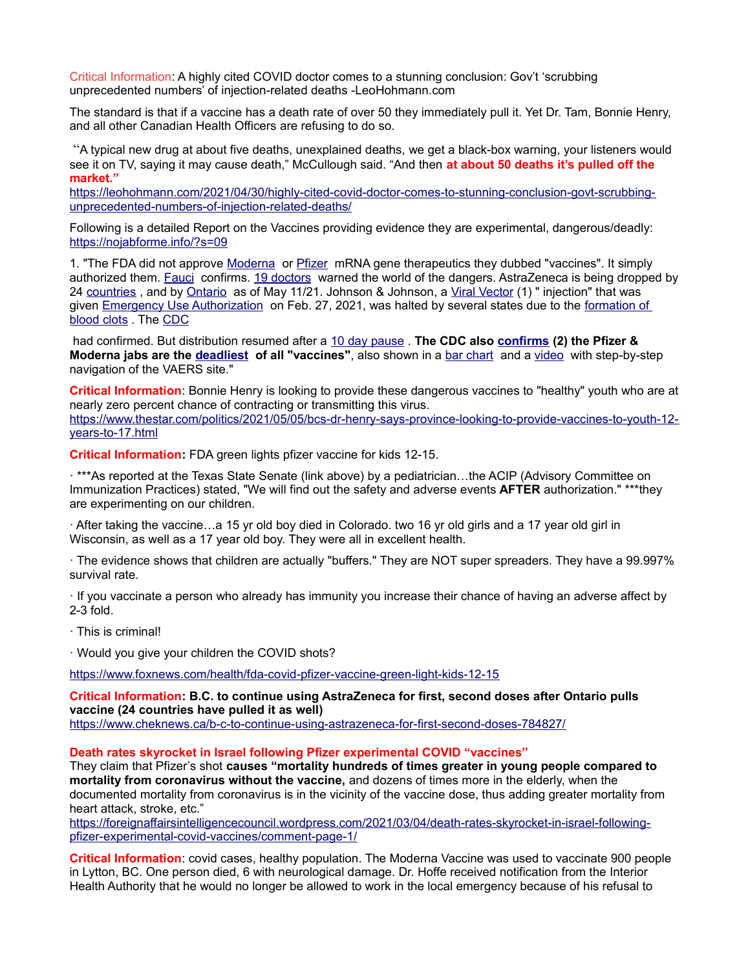Critical Information: A highly cited COVID doctor comes to a stunning conclusion: Gov't 'scrubbing unprecedented numbers' of injection-related deaths -LeoHohmann.com

The standard is that if a vaccine has a death rate of over 50 they immediately pull it. Yet Dr. Tam, Bonnie Henry, and all other Canadian Health Officers are refusing to do so.

"A typical new drug at about five deaths, unexplained deaths, we get a black-box warning, your listeners would see it on TV, saying it may cause death," McCullough said. "And then **at about 50 deaths it's pulled off the market."**

[https://leohohmann.com/2021/04/30/highly-cited-covid-doctor-comes-to-stunning-conclusion-govt-scrubbing](https://leohohmann.com/2021/04/30/highly-cited-covid-doctor-comes-to-stunning-conclusion-govt-scrubbing-unprecedented-numbers-of-injection-related-deaths/)[unprecedented-numbers-of-injection-related-deaths/](https://leohohmann.com/2021/04/30/highly-cited-covid-doctor-comes-to-stunning-conclusion-govt-scrubbing-unprecedented-numbers-of-injection-related-deaths/)

Following is a detailed Report on the Vaccines providing evidence they are experimental, dangerous/deadly: <https://nojabforme.info/?s=09>

1. "The FDA did not approve [Moderna](https://www.fda.gov/news-events/press-announcements/fda-takes-additional-action-fight-against-covid-19-issuing-emergency-use-authorization-second-covid) or [Pfizer](https://t.co/HAzStbwgNh?amp=1) mRNA gene therapeutics they dubbed "vaccines". It simply authorized them. [Fauci](https://twitter.com/wakeupfromcovid/status/1370188597366784003?s=20) confirms. [19 doctors](https://rumble.com/veseil-world-doctors-warn-do-not-take-mrna-shot.html) warned the world of the dangers. AstraZeneca is being dropped by 24 [countries](https://thehighwire.com/videos/astrazeneca-vaccine-falls-from-grace/), and by [Ontario](https://ca.news.yahoo.com/ontario-astrazeneca-vaccine-bloor-clot-concerns-203158221.html) as of May 11/21. Johnson & Johnson, a [Viral Vector](https://www.infobloom.com/what-is-a-viral-vector.htm#:~:text=A%20viral%20vector%20is%20a%20virus%20which%20has,treatments%20for%20disease%2C%20gene%20therapy%2C%20and%20pure%20research.) (1) " injection" that was given [Emergency Use Authorization](https://www.jnj.com/johnson-johnson-covid-19-vaccine-authorized-by-u-s-fda-for-emergency-usefirst-single-shot-vaccine-in-fight-against-global-pandemic) on Feb. 27, 2021, was halted by several states due to the formation of [blood clots](https://www.npr.org/sections/coronavirus-live-updates/2021/04/13/986709618/u-s-recommends-pausing-use-of-johnson-johnson-vaccine-over-blood-clot-concerns?utm_source=twitter.com&utm_medium=social&utm_term=nprnews&utm_campaign=npr) . The [CDC](https://www.cdc.gov/vaccines/covid-19/index.html)

had confirmed. But distribution resumed after a [10 day pause](https://www.msn.com/en-us/news/politics/states-resume-administering-jandj-vaccine-after-pause/ar-BB1g0I8g?ocid=BingNewsSearch) . **The CDC also [confirms](https://u.pcloud.link/publink/show?code=XZ8josXZAgUwHhw488S2QxDCihUpjQQKzXOk) (2) the Pfizer & Moderna jabs are the [deadliest](https://u.pcloud.link/publink/show?code=XZ0uosXZKJtl7kgFRhmA72DGIn83Ok3Rlsvk) of all "vaccines"**, also shown in a [bar chart](https://u.pcloud.link/publink/show?code=XZ8josXZAgUwHhw488S2QxDCihUpjQQKzXOk) and a [video](https://rumble.com/vfqyet-cdc-admits-pfizer-and-moderna-are-most-dangerous-vaccines.html) with step-by-step navigation of the VAERS site."

**Critical Information**: Bonnie Henry is looking to provide these dangerous vaccines to "healthy" youth who are at nearly zero percent chance of contracting or transmitting this virus. [https://www.thestar.com/politics/2021/05/05/bcs-dr-henry-says-province-looking-to-provide-vaccines-to-youth-12-](https://www.thestar.com/politics/2021/05/05/bcs-dr-henry-says-province-looking-to-provide-vaccines-to-youth-12-years-to-17.html)

[years-to-17.html](https://www.thestar.com/politics/2021/05/05/bcs-dr-henry-says-province-looking-to-provide-vaccines-to-youth-12-years-to-17.html)

**Critical Information:** FDA green lights pfizer vaccine for kids 12-15.

· \*\*\*As reported at the Texas State Senate (link above) by a pediatrician…the ACIP (Advisory Committee on Immunization Practices) stated, "We will find out the safety and adverse events **AFTER** authorization." \*\*\*they are experimenting on our children.

· After taking the vaccine…a 15 yr old boy died in Colorado. two 16 yr old girls and a 17 year old girl in Wisconsin, as well as a 17 year old boy. They were all in excellent health.

· The evidence shows that children are actually "buffers." They are NOT super spreaders. They have a 99.997% survival rate.

· If you vaccinate a person who already has immunity you increase their chance of having an adverse affect by 2-3 fold.

· This is criminal!

· Would you give your children the COVID shots?

<https://www.foxnews.com/health/fda-covid-pfizer-vaccine-green-light-kids-12-15>

**Critical Information: B.C. to continue using AstraZeneca for first, second doses after Ontario pulls vaccine (24 countries have pulled it as well)** <https://www.cheknews.ca/b-c-to-continue-using-astrazeneca-for-first-second-doses-784827/>

**Death rates skyrocket in Israel following Pfizer experimental COVID "vaccines"**

They claim that Pfizer's shot **causes "mortality hundreds of times greater in young people compared to mortality from coronavirus without the vaccine,** and dozens of times more in the elderly, when the documented mortality from coronavirus is in the vicinity of the vaccine dose, thus adding greater mortality from heart attack, stroke, etc."

[https://foreignaffairsintelligencecouncil.wordpress.com/2021/03/04/death-rates-skyrocket-in-israel-following](https://foreignaffairsintelligencecouncil.wordpress.com/2021/03/04/death-rates-skyrocket-in-israel-following-pfizer-experimental-covid-vaccines/comment-page-1/)[pfizer-experimental-covid-vaccines/comment-page-1/](https://foreignaffairsintelligencecouncil.wordpress.com/2021/03/04/death-rates-skyrocket-in-israel-following-pfizer-experimental-covid-vaccines/comment-page-1/)

**Critical Information**: covid cases, healthy population. The Moderna Vaccine was used to vaccinate 900 people in Lytton, BC. One person died, 6 with neurological damage. Dr. Hoffe received notification from the Interior Health Authority that he would no longer be allowed to work in the local emergency because of his refusal to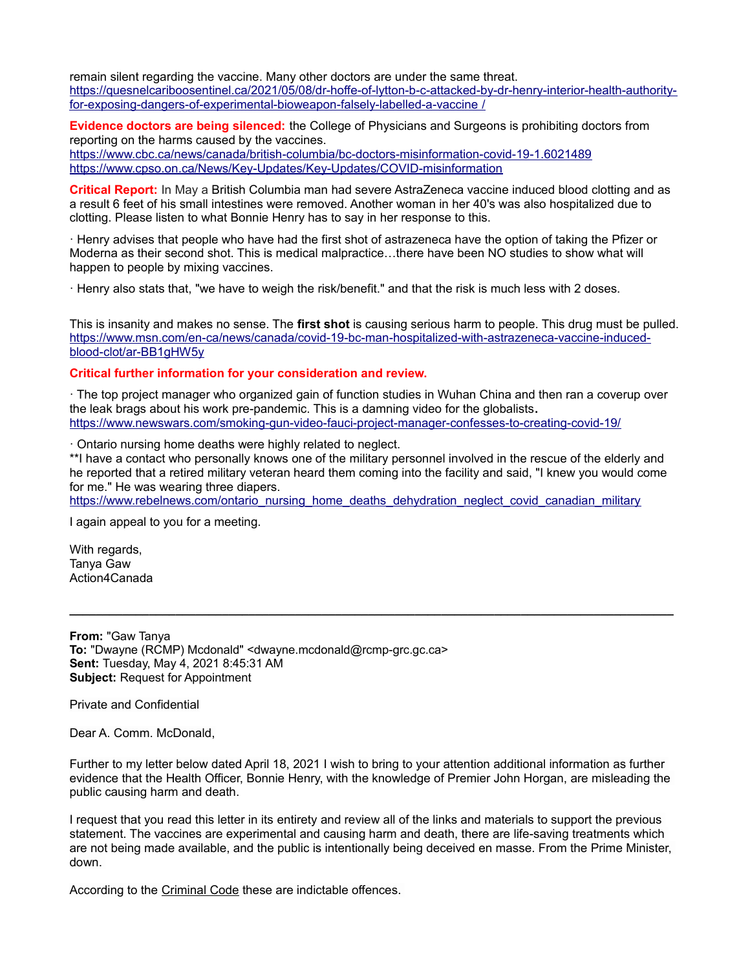remain silent regarding the vaccine. Many other doctors are under the same threat. [https://quesnelcariboosentinel.ca/2021/05/08/dr-hoffe-of-lytton-b-c-attacked-by-dr-henry-interior-health-authority](https://quesnelcariboosentinel.ca/2021/05/08/dr-hoffe-of-lytton-b-c-attacked-by-dr-henry-interior-health-authority-for-exposing-dangers-of-experimental-bioweapon-falsely-labelled-a-vaccine)  [for-exposing-dangers-of-experimental-bioweapon-falsely-labelled-a-vaccine](https://quesnelcariboosentinel.ca/2021/05/08/dr-hoffe-of-lytton-b-c-attacked-by-dr-henry-interior-health-authority-for-exposing-dangers-of-experimental-bioweapon-falsely-labelled-a-vaccine) [/](https://quesnelcariboosentinel.ca/2021/05/08/dr-hoffe-of-lytton-b-c-attacked-by-dr-henry-interior-health-authority-for-exposing-dangers-of-experimental-bioweapon-falsely-labelled-a-vaccine/)

**Evidence doctors are being silenced:** the College of Physicians and Surgeons is prohibiting doctors from reporting on the harms caused by the vaccines.

<https://www.cbc.ca/news/canada/british-columbia/bc-doctors-misinformation-covid-19-1.6021489> <https://www.cpso.on.ca/News/Key-Updates/Key-Updates/COVID-misinformation>

**Critical Report:** In May a British Columbia man had severe AstraZeneca vaccine induced blood clotting and as a result 6 feet of his small intestines were removed. Another woman in her 40's was also hospitalized due to clotting. Please listen to what Bonnie Henry has to say in her response to this.

· Henry advises that people who have had the first shot of astrazeneca have the option of taking the Pfizer or Moderna as their second shot. This is medical malpractice…there have been NO studies to show what will happen to people by mixing vaccines.

· Henry also stats that, "we have to weigh the risk/benefit." and that the risk is much less with 2 doses.

This is insanity and makes no sense. The **first shot** is causing serious harm to people. This drug must be pulled. [https://www.msn.com/en-ca/news/canada/covid-19-bc-man-hospitalized-with-astrazeneca-vaccine-induced](https://www.msn.com/en-ca/news/canada/covid-19-bc-man-hospitalized-with-astrazeneca-vaccine-induced-blood-clot/ar-BB1gHW5y)[blood-clot/ar-BB1gHW5y](https://www.msn.com/en-ca/news/canada/covid-19-bc-man-hospitalized-with-astrazeneca-vaccine-induced-blood-clot/ar-BB1gHW5y)

## **Critical further information for your consideration and review.**

· The top project manager who organized gain of function studies in Wuhan China and then ran a coverup over the leak brags about his work pre-pandemic. This is a damning video for the globalists**.** <https://www.newswars.com/smoking-gun-video-fauci-project-manager-confesses-to-creating-covid-19/>

· Ontario nursing home deaths were highly related to neglect.

\*\*I have a contact who personally knows one of the military personnel involved in the rescue of the elderly and he reported that a retired military veteran heard them coming into the facility and said, "I knew you would come for me." He was wearing three diapers.

**\_\_\_\_\_\_\_\_\_\_\_\_\_\_\_\_\_\_\_\_\_\_\_\_\_\_\_\_\_\_\_\_\_\_\_\_\_\_\_\_\_\_\_\_\_\_\_\_\_\_\_\_\_\_\_\_\_\_\_\_\_\_\_\_\_\_\_\_\_\_\_\_\_\_\_\_\_\_\_\_\_\_\_\_\_\_\_\_\_\_\_**

[https://www.rebelnews.com/ontario\\_nursing\\_home\\_deaths\\_dehydration\\_neglect\\_covid\\_canadian\\_military](https://www.rebelnews.com/ontario_nursing_home_deaths_dehydration_neglect_covid_canadian_military)

I again appeal to you for a meeting.

With regards, Tanya Gaw Action4Canada

**From:** "Gaw Tanya **To:** "Dwayne (RCMP) Mcdonald" <dwayne.mcdonald@rcmp-grc.gc.ca> **Sent:** Tuesday, May 4, 2021 8:45:31 AM **Subject:** Request for Appointment

Private and Confidential

Dear A. Comm. McDonald,

Further to my letter below dated April 18, 2021 I wish to bring to your attention additional information as further evidence that the Health Officer, Bonnie Henry, with the knowledge of Premier John Horgan, are misleading the public causing harm and death.

I request that you read this letter in its entirety and review all of the links and materials to support the previous statement. The vaccines are experimental and causing harm and death, there are life-saving treatments which are not being made available, and the public is intentionally being deceived en masse. From the Prime Minister, down.

According to the [Criminal Code](https://laws-lois.justice.gc.ca/eng/acts/C-46/page-51.html) these are indictable offences.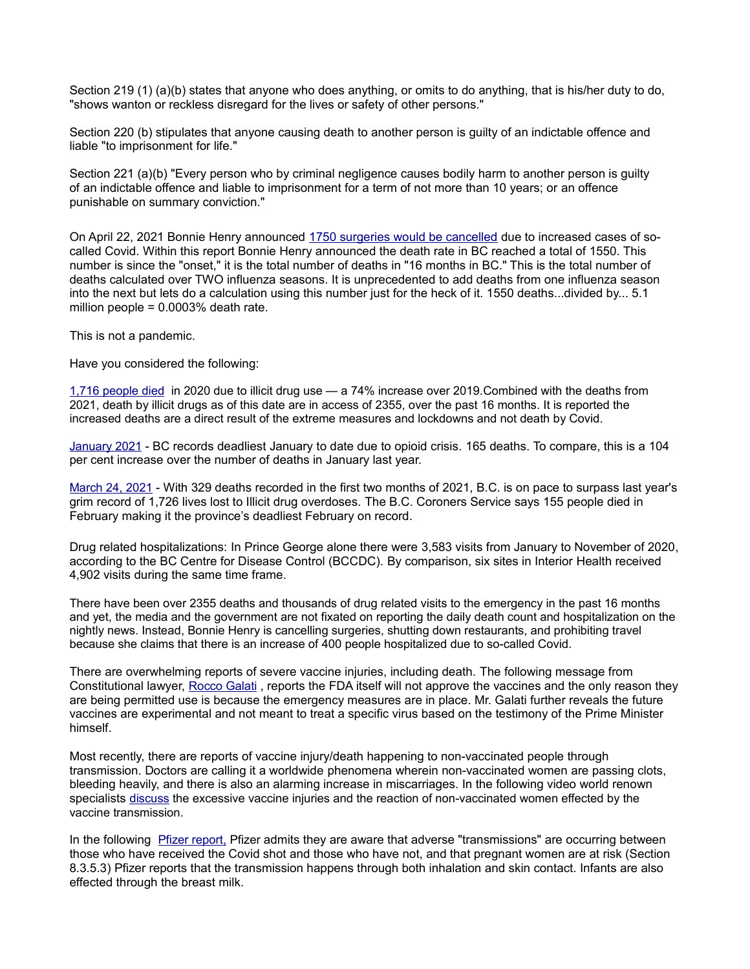Section 219 (1) (a)(b) states that anyone who does anything, or omits to do anything, that is his/her duty to do, "shows wanton or reckless disregard for the lives or safety of other persons."

Section 220 (b) stipulates that anyone causing death to another person is guilty of an indictable offence and liable "to imprisonment for life."

Section 221 (a)(b) "Every person who by criminal negligence causes bodily harm to another person is guilty of an indictable offence and liable to imprisonment for a term of not more than 10 years; or an offence punishable on summary conviction."

On April 22, 2021 Bonnie Henry announced [1750 surgeries would be cancelled](https://www.cheknews.ca/b-c-cancels-scheduled-surgeries-in-nine-hospitals-as-covid-patient-count-jumps-772553/) due to increased cases of socalled Covid. Within this report Bonnie Henry announced the death rate in BC reached a total of 1550. This number is since the "onset," it is the total number of deaths in "16 months in BC." This is the total number of deaths calculated over TWO influenza seasons. It is unprecedented to add deaths from one influenza season into the next but lets do a calculation using this number just for the heck of it. 1550 deaths...divided by... 5.1 million people = 0.0003% death rate.

This is not a pandemic.

Have you considered the following:

[1,716 people died](https://www.cbc.ca/news/canada/british-columbia/2020-drug-overdose-deaths-bc-coroners-service-1.5910325) in 2020 due to illicit drug use — a 74% increase over 2019.Combined with the deaths from 2021, death by illicit drugs as of this date are in access of 2355, over the past 16 months. It is reported the increased deaths are a direct result of the extreme measures and lockdowns and not death by Covid.

[January 2021](https://www.victoriabuzz.com/2021/03/bc-records-highest-number-of-deaths-in-a-january-due-to-opioid-crisis/) - BC records deadliest January to date due to opioid crisis. 165 deaths. To compare, this is a 104 per cent increase over the number of deaths in January last year.

[March 24, 2021](https://vancouversun.com/news/b-c-experienced-deadliest-february-of-the-opioid-crisis) - With 329 deaths recorded in the first two months of 2021, B.C. is on pace to surpass last year's grim record of 1,726 lives lost to Illicit drug overdoses. The B.C. Coroners Service says 155 people died in February making it the province's deadliest February on record.

Drug related hospitalizations: In Prince George alone there were 3,583 visits from January to November of 2020, according to the BC Centre for Disease Control (BCCDC). By comparison, six sites in Interior Health received 4,902 visits during the same time frame.

There have been over 2355 deaths and thousands of drug related visits to the emergency in the past 16 months and yet, the media and the government are not fixated on reporting the daily death count and hospitalization on the nightly news. Instead, Bonnie Henry is cancelling surgeries, shutting down restaurants, and prohibiting travel because she claims that there is an increase of 400 people hospitalized due to so-called Covid.

There are overwhelming reports of severe vaccine injuries, including death. The following message from Constitutional lawyer, [Rocco Galati](https://odysee.com/@WholeHeartedMedia:a/rocco-raj-icu-beds,-jabs-up-to-2024+-is:0?src=open) , reports the FDA itself will not approve the vaccines and the only reason they are being permitted use is because the emergency measures are in place. Mr. Galati further reveals the future vaccines are experimental and not meant to treat a specific virus based on the testimony of the Prime Minister himself.

Most recently, there are reports of vaccine injury/death happening to non-vaccinated people through transmission. Doctors are calling it a worldwide phenomena wherein non-vaccinated women are passing clots, bleeding heavily, and there is also an alarming increase in miscarriages. In the following video world renown specialists [discuss](https://rumble.com/vfyvcn-critically-thinking-with-dr.-t-and-dr.-p-episode-44.html?fbclid=IwAR2zV14Y0mWzA8KxG0kYdxiYS9buvrQv7-rMOiTeNprCJl1byzzp7VRDcWE) the excessive vaccine injuries and the reaction of non-vaccinated women effected by the vaccine transmission.

In the following [Pfizer report,](https://action4canada.com/wp-content/uploads/Pfizer-Document-Vaccines-Causing-harm.-1.pdf) Pfizer admits they are aware that adverse "transmissions" are occurring between those who have received the Covid shot and those who have not, and that pregnant women are at risk (Section 8.3.5.3) Pfizer reports that the transmission happens through both inhalation and skin contact. Infants are also effected through the breast milk.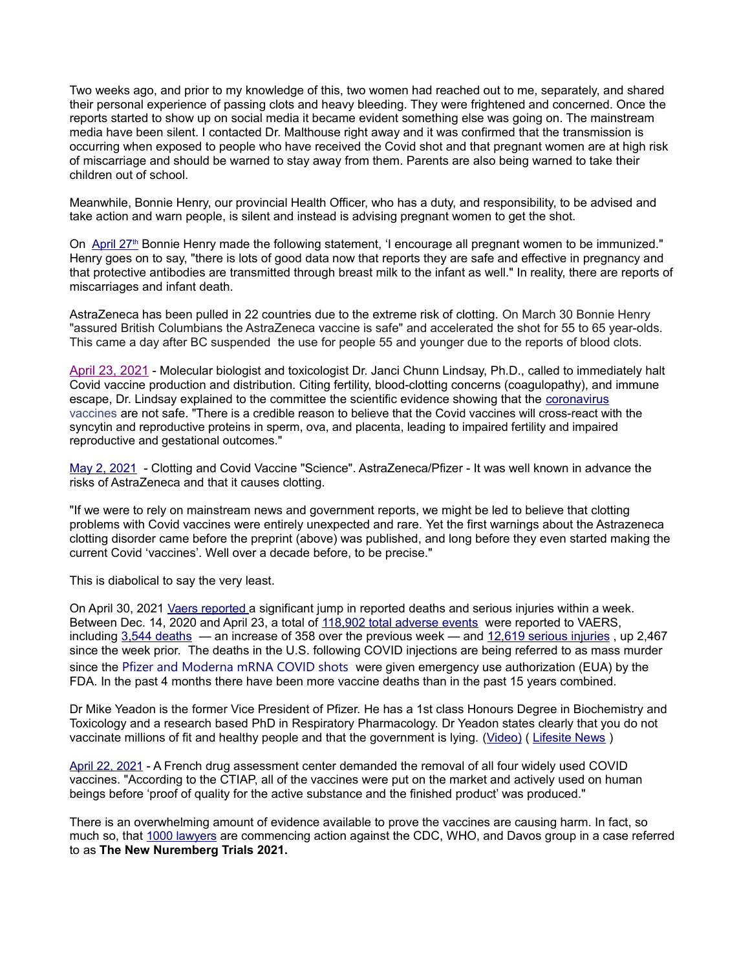Two weeks ago, and prior to my knowledge of this, two women had reached out to me, separately, and shared their personal experience of passing clots and heavy bleeding. They were frightened and concerned. Once the reports started to show up on social media it became evident something else was going on. The mainstream media have been silent. I contacted Dr. Malthouse right away and it was confirmed that the transmission is occurring when exposed to people who have received the Covid shot and that pregnant women are at high risk of miscarriage and should be warned to stay away from them. Parents are also being warned to take their children out of school.

Meanwhile, Bonnie Henry, our provincial Health Officer, who has a duty, and responsibility, to be advised and take action and warn people, is silent and instead is advising pregnant women to get the shot.

On [April 27](https://globalnews.ca/news/7813885/b-c-encourages-pregnant-women-to-get-vaccinated-but-wont-move-them-up-the-list/)<sup>th</sup> Bonnie Henry made the following statement, 'I encourage all pregnant women to be immunized." Henry goes on to say, "there is lots of good data now that reports they are safe and effective in pregnancy and that protective antibodies are transmitted through breast milk to the infant as well." In reality, there are reports of miscarriages and infant death.

AstraZeneca has been pulled in 22 countries due to the extreme risk of clotting. On March 30 Bonnie Henry "assured British Columbians the AstraZeneca vaccine is safe" and accelerated the shot for 55 to 65 year-olds. This came a day after BC suspended the use for people 55 and younger due to the reports of blood clots.

[April 23, 2021](https://www.jennifermargulis.net/halt-covid-vaccine-research-scientist-urges-cdc/) - Molecular biologist and toxicologist Dr. Janci Chunn Lindsay, Ph.D., called to immediately halt Covid vaccine production and distribution. Citing fertility, blood-clotting concerns (coagulopathy), and immune escape, Dr. Lindsay explained to the committee the scientific evidence showing that the [coronavirus](https://www.jennifermargulis.net/does-the-world-need-a-coronavirus-vaccine/) [vaccines](https://www.jennifermargulis.net/does-the-world-need-a-coronavirus-vaccine/) are not safe. "There is a credible reason to believe that the Covid vaccines will cross-react with the syncytin and reproductive proteins in sperm, ova, and placenta, leading to impaired fertility and impaired reproductive and gestational outcomes."

[May 2, 2021](https://www.ukcolumn.org/index.php/article/clotting-and-covid-science) - Clotting and Covid Vaccine "Science". AstraZeneca/Pfizer - It was well known in advance the risks of AstraZeneca and that it causes clotting.

"If we were to rely on mainstream news and government reports, we might be led to believe that clotting problems with Covid vaccines were entirely unexpected and rare. Yet the first warnings about the Astrazeneca clotting disorder came before the preprint (above) was published, and long before they even started making the current Covid 'vaccines'. Well over a decade before, to be precise."

This is diabolical to say the very least.

On April 30, 2021 [Vaers reported](https://childrenshealthdefense.org/defender/vaers-significant-jump-reported-injuries-deaths-after-covid-vaccine/?utm_source=salsa&eType=EmailBlastContent&eId=3b9187c1-b00e-48a8-b02f-d75f9d0f636c) a significant jump in reported deaths and serious injuries within a week. Between Dec. 14, 2020 and April 23, a total of [118,902 total adverse events](https://www.medalerts.org/vaersdb/findfield.php?TABLE=ON&GROUP1=CAT&EVENTS=ON&VAX=COVID19) were reported to VAERS, including [3,544 deaths](https://www.medalerts.org/vaersdb/findfield.php?TABLE=ON&GROUP1=AGE&EVENTS=ON&VAX=COVID19&DIED=Yes) — an increase of 358 over the previous week — and [12,619 serious injuries](https://www.medalerts.org/vaersdb/findfield.php?TABLE=ON&GROUP1=AGE&EVENTS=ON&VAX=COVID19&SERIOUS=ON) , up 2,467 since the week prior. The deaths in the U.S. following COVID injections are being referred to as mass murder since the [Pfizer and Moderna mRNA COVID shots](https://www.globalresearch.ca/mass-murder-3486-deaths-us-following-covid-injections-4-months-more-vaccine-deaths-recorded-than-the-past-15-years-combined/5743503) were given emergency use authorization (EUA) by the FDA. In the past 4 months there have been more vaccine deaths than in the past 15 years combined.

Dr Mike Yeadon is the former Vice President of Pfizer. He has a 1st class Honours Degree in Biochemistry and Toxicology and a research based PhD in Respiratory Pharmacology. Dr Yeadon states clearly that you do not vaccinate millions of fit and healthy people and that the government is lying. [\(Video\)](https://www.facebook.com/clarey21/videos/10164933996025585) ([Lifesite News](https://www.lifesitenews.com/news/former-pfizer-vp-no-need-for-vaccines-the-pandemic-is-effectively-over))

[April 22, 2021](https://www.lifesitenews.com/news/french-drug-assessment-center-demands-removal-of-all-four-widely-used-covid-vaccines?utm_source=LifeSiteNews.com&utm_campaign=12926387dd-Daily%2520Headlines%2520-%2520World_COPY_1001&utm_medium=email&utm_term=0_12387f0e3e-12926387dd-404022497) - A French drug assessment center demanded the removal of all four widely used COVID vaccines. "According to the CTIAP, all of the vaccines were put on the market and actively used on human beings before 'proof of quality for the active substance and the finished product' was produced."

There is an overwhelming amount of evidence available to prove the vaccines are causing harm. In fact, so much so, that [1000 lawyers](https://thewatchtowers.org/the-new-nuremberg-trials-2021-please-share-this-info/) are commencing action against the CDC, WHO, and Davos group in a case referred to as **The New Nuremberg Trials 2021.**